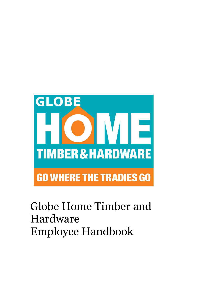

# Globe Home Timber and Hardware Employee Handbook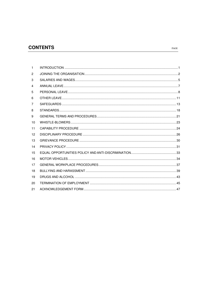# **CONTENTS**

| 1  |  |
|----|--|
| 2  |  |
| 3  |  |
| 4  |  |
| 5  |  |
| 6  |  |
| 7  |  |
| 8  |  |
| 9  |  |
| 10 |  |
| 11 |  |
| 12 |  |
| 13 |  |
| 14 |  |
| 15 |  |
| 16 |  |
| 17 |  |
| 18 |  |
| 19 |  |
| 20 |  |
| 21 |  |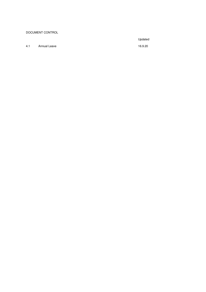#### DOCUMENT CONTROL

Updated

4.1 Annual Leave 16.9.20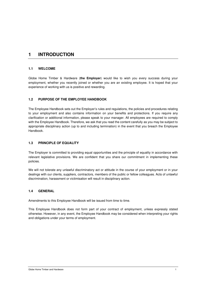# **1 INTRODUCTION**

#### **1.1 WELCOME**

Globe Home Timber & Hardware (**the Employer**) would like to wish you every success during your employment, whether you recently joined or whether you are an existing employee. It is hoped that your experience of working with us is positive and rewarding.

## **1.2 PURPOSE OF THE EMPLOYEE HANDBOOK**

The Employee Handbook sets out the Employer's rules and regulations, the policies and procedures relating to your employment and also contains information on your benefits and protections. If you require any clarification or additional information, please speak to your manager. All employees are required to comply with the Employee Handbook. Therefore, we ask that you read the content carefully as you may be subject to appropriate disciplinary action (up to and including termination) in the event that you breach the Employee Handbook.

### **1.3 PRINCIPLE OF EQUALITY**

The Employer is committed to providing equal opportunities and the principle of equality in accordance with relevant legislative provisions. We are confident that you share our commitment in implementing these policies.

We will not tolerate any unlawful discriminatory act or attitude in the course of your employment or in your dealings with our clients, suppliers, contractors, members of the public or fellow colleagues. Acts of unlawful discrimination, harassment or victimisation will result in disciplinary action.

#### **1.4 GENERAL**

Amendments to this Employee Handbook will be issued from time to time.

This Employee Handbook does not form part of your contract of employment, unless expressly stated otherwise. However, in any event, the Employee Handbook may be considered when interpreting your rights and obligations under your terms of employment.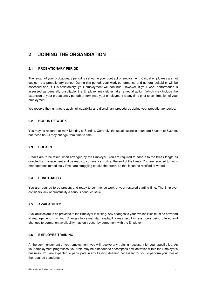# **2 JOINING THE ORGANISATION**

## **2.1 PROBATIONARY PERIOD**

The length of your probationary period is set out in your contract of employment. Casual employees are not subject to a probationary period. During this period, your work performance and general suitability will be assessed and, if it is satisfactory, your employment will continue. However, if your work performance is assessed as generally unsuitable, the Employer may either take remedial action (which may include the extension of your probationary period) or terminate your employment at any time prior to confirmation of your employment.

We reserve the right not to apply full capability and disciplinary procedures during your probationary period.

#### **2.2 HOURS OF WORK**

You may be rostered to work Monday to Sunday. Currently, the usual business hours are 8.00am to 5.30pm, but these hours may change from time to time.

#### **2.3 BREAKS**

Breaks are to be taken when arranged by the Employer. You are required to adhere to the break length as directed by management and be ready to commence work at the end of the break. You are required to notify management immediately if you are struggling to take the break, so that it can be rectified or varied.

#### **2.4 PUNCTUALITY**

You are required to be present and ready to commence work at your rostered starting time. The Employer considers lack of punctuality a serious conduct issue.

#### **2.5 AVAILABILITY**

Availabilities are to be provided to the Employer in writing. Any changes to your availabilities must be provided to management in writing. Changes to casual staff availability may result in less hours being offered and changes to permanent availability may only occur by agreement with the Employer.

#### **2.6 EMPLOYEE TRAINING**

At the commencement of your employment, you will receive any training necessary for your specific job. As your employment progresses, your role may be extended to encompass new activities within the Employer's business. You are expected to participate in any training deemed necessary for you to perform your role at the required standards.

Globe Home Timber and Hardware 2008 **2008**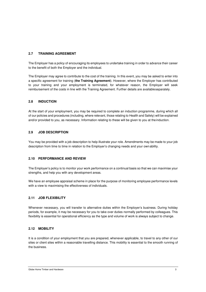#### **2.7 TRAINING AGREEMENT**

The Employer has a policy of encouraging its employees to undertake training in order to advance their career to the benefit of both the Employer and the individual.

The Employer may agree to contribute to the cost of the training. In this event, you may be asked to enter into a specific agreement for training (**the Training Agreement**). However, where the Employer has contributed to your training and your employment is terminated, for whatever reason, the Employer will seek reimbursement of the costs in line with the Training Agreement. Further details are available separately.

#### **2.8 INDUCTION**

At the start of your employment, you may be required to complete an induction programme, during which all of our policies and procedures (including, where relevant, those relating to Health and Safety) will be explained and/or provided to you, as necessary. Information relating to these will be given to you at the induction.

#### **2.9 JOB DESCRIPTION**

You may be provided with a job description to help illustrate your role. Amendments may be made to your job description from time to time in relation to the Employer's changing needs and your own ability.

#### **2.10 PERFORMANCE AND REVIEW**

The Employer's policy is to monitor your work performance on a continual basis so that we can maximise your strengths, and help you with any development areas.

We have an employee appraisal scheme in place for the purpose of monitoring employee performance levels with a view to maximising the effectiveness of individuals.

## **2.11 JOB FLEXIBILITY**

Whenever necessary, you will transfer to alternative duties within the Employer's business. During holiday periods, for example, it may be necessary for you to take over duties normally performed by colleagues. This flexibility is essential for operational efficiency as the type and volume of work is always subject to change.

#### **2.12 MOBILITY**

It is a condition of your employment that you are prepared, whenever applicable, to travel to any other of our sites or client sites within a reasonable travelling distance. This mobility is essential to the smooth running of the business.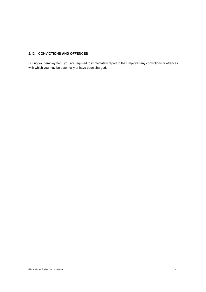#### **2.13 CONVICTIONS AND OFFENCES**

During your employment, you are required to immediately report to the Employer any convictions or offences with which you may be potentially or have been charged.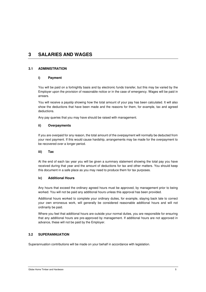# **3 SALARIES AND WAGES**

## **3.1 ADMINISTRATION**

## **i) Payment**

You will be paid on a fortnightly basis and by electronic funds transfer, but this may be varied by the Employer upon the provision of reasonable notice or in the case of emergency. Wages will be paid in arrears.

You will receive a payslip showing how the total amount of your pay has been calculated. It will also show the deductions that have been made and the reasons for them, for example, tax and agreed deductions.

Any pay queries that you may have should be raised with management.

#### **ii) Overpayments**

If you are overpaid for any reason, the total amount of the overpayment will normally be deducted from your next payment. If this would cause hardship, arrangements may be made for the overpayment to be recovered over a longer period.

#### **iii) Tax**

At the end of each tax year you will be given a summary statement showing the total pay you have received during that year and the amount of deductions for tax and other matters. You should keep this document in a safe place as you may need to produce them for tax purposes.

#### **iv) Additional Hours**

Any hours that exceed the ordinary agreed hours must be approved, by management prior to being worked. You will not be paid any additional hours unless this approval has been provided.

Additional hours worked to complete your ordinary duties, for example, staying back late to correct your own erroneous work, will generally be considered reasonable additional hours and will not ordinarily be paid.

Where you feel that additional hours are outside your normal duties, you are responsible for ensuring that any additional hours are pre-approved by management. If additional hours are not approved in advance, these will not be paid by the Employer.

## **3.2 SUPERANNUATION**

Superannuation contributions will be made on your behalf in accordance with legislation.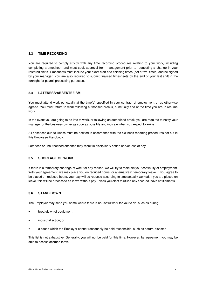## **3.3 TIME RECORDING**

You are required to comply strictly with any time recording procedures relating to your work, including completing a timesheet, and must seek approval from management prior to requesting a change in your rostered shifts. Timesheets must include your exact start and finishing times (not arrival times) and be signed by your manager. You are also required to submit finalised timesheets by the end of your last shift in the fortnight for payroll processing purposes.

# **3.4 LATENESS/ABSENTEEISM**

You must attend work punctually at the time(s) specified in your contract of employment or as otherwise agreed. You must return to work following authorised breaks, punctually and at the time you are to resume work.

In the event you are going to be late to work, or following an authorised break, you are required to notify your manager or the business owner as soon as possible and indicate when you expect to arrive.

All absences due to illness must be notified in accordance with the sickness reporting procedures set out in this Employee Handbook.

Lateness or unauthorised absence may result in disciplinary action and/or loss of pay.

## **3.5 SHORTAGE OF WORK**

If there is a temporary shortage of work for any reason, we will try to maintain your continuity of employment. With your agreement, we may place you on reduced hours, or alternatively, temporary leave. If you agree to be placed on reduced hours, your pay will be reduced according to time actually worked. If you are placed on leave, this will be processed as leave without pay unless you elect to utilise any accrued leave entitlements.

## **3.6 STAND DOWN**

The Employer may send you home where there is no useful work for you to do, such as during:

- breakdown of equipment;
- industrial action; or
- a cause which the Employer cannot reasonably be held responsible, such as natural disaster.

This list is not exhaustive. Generally, you will not be paid for this time. However, by agreement you may be able to access accrued leave.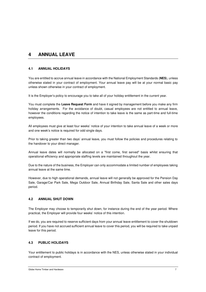# **4 ANNUAL LEAVE**

# **4.1 ANNUAL HOLIDAYS**

You are entitled to accrue annual leave in accordance with the National Employment Standards (**NES**), unless otherwise stated in your contract of employment. Your annual leave pay will be at your normal basic pay unless shown otherwise in your contract of employment.

It is the Employer's policy to encourage you to take all of your holiday entitlement in the current year.

You must complete the **Leave Request Form** and have it signed by management before you make any firm holiday arrangements. For the avoidance of doubt, casual employees are not entitled to annual leave, however the conditions regarding the notice of intention to take leave is the same as part-time and full-time employees.

All employees must give at least four weeks' notice of your intention to take annual leave of a week or more and one week's notice is required for odd single days.

Prior to taking greater than two days' annual leave, you must follow the policies and procedures relating to the handover to your direct manager.

Annual leave dates will normally be allocated on a "first come, first served" basis whilst ensuring that operational efficiency and appropriate staffing levels are maintained throughout the year.

Due to the nature of the business, the Employer can only accommodate a limited number of employees taking annual leave at the same time.

However, due to high operational demands, annual leave will not generally be approved for the Pension Day Sale, Garage/Car Park Sale, Mega Outdoor Sale, Annual Birthday Sale, Santa Sale and other sales days period.

# **4.2 ANNUAL SHUT DOWN**

The Employer may choose to temporarily shut down, for instance during the end of the year period. Where practical, the Employer will provide four weeks' notice of this intention.

If we do, you are required to reserve sufficient days from your annual leave entitlement to cover the shutdown period. If you have not accrued sufficient annual leave to cover this period, you will be required to take unpaid leave for this period.

# **4.3 PUBLIC HOLIDAYS**

Your entitlement to public holidays is in accordance with the NES, unless otherwise stated in your individual contract of employment.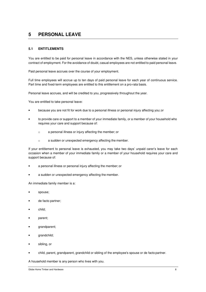# **5 PERSONAL LEAVE**

#### **5.1 ENTITLEMENTS**

You are entitled to be paid for personal leave in accordance with the NES, unless otherwise stated in your contract of employment. For the avoidance of doubt, casual employees are not entitled to paid personal leave.

Paid personal leave accrues over the course of your employment.

Full time employees will accrue up to ten days of paid personal leave for each year of continuous service. Part time and fixed-term employees are entitled to this entitlement on a pro-rata basis.

Personal leave accrues, and will be credited to you, progressively throughout the year.

You are entitled to take personal leave:

- because you are not fit for work due to a personal illness or personal injury affecting you; or
- to provide care or support to a member of your immediate family, or a member of your household who requires your care and support because of:
	- o a personal illness or injury affecting the member; or
	- o a sudden or unexpected emergency affecting the member.

If your entitlement to personal leave is exhausted, you may take two days' unpaid carer's leave for each occasion when a member of your immediate family or a member of your household requires your care and support because of:

- a personal illness or personal injury affecting the member; or
- a sudden or unexpected emergency affecting the member.

An immediate family member is a:

- spouse;
- de facto partner;
- child;
- parent;
- grandparent;
- grandchild;
- sibling, or
- child, parent, grandparent, grandchild or sibling of the employee's spouse or de facto partner.

A household member is any person who lives with you.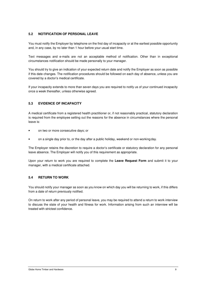#### **5.2 NOTIFICATION OF PERSONAL LEAVE**

You must notify the Employer by telephone on the first day of incapacity or at the earliest possible opportunity and, in any case, by no later than 1 hour before your usual start time.

Text messages and e-mails are not an acceptable method of notification. Other than in exceptional circumstances notification should be made personally to your manager.

You should try to give an indication of your expected return date and notify the Employer as soon as possible if this date changes. The notification procedures should be followed on each day of absence, unless you are covered by a doctor's medical certificate.

If your incapacity extends to more than seven days you are required to notify us of your continued incapacity once a week thereafter, unless otherwise agreed.

## **5.3 EVIDENCE OF INCAPACITY**

A medical certificate from a registered health practitioner or, if not reasonably practical, statutory declaration is required from the employee setting out the reasons for the absence in circumstances where the personal leave is:

- on two or more consecutive days; or
- on a single day prior to, or the day after a public holiday, weekend or non-working day.

The Employer retains the discretion to require a doctor's certificate or statutory declaration for any personal leave absence. The Employer will notify you of this requirement as appropriate.

Upon your return to work you are required to complete the **Leave Request Form** and submit it to your manager, with a medical certificate attached.

### **5.4 RETURN TO WORK**

You should notify your manager as soon as you know on which day you will be returning to work, if this differs from a date of return previously notified.

On return to work after any period of personal leave, you may be required to attend a return to work interview to discuss the state of your health and fitness for work. Information arising from such an interview will be treated with strictest confidence.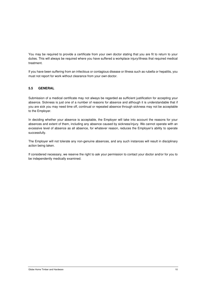You may be required to provide a certificate from your own doctor stating that you are fit to return to your duties. This will always be required where you have suffered a workplace injury/illness that required medical treatment.

If you have been suffering from an infectious or contagious disease or illness such as rubella or hepatitis, you must not report for work without clearance from your own doctor.

#### **5.5 GENERAL**

Submission of a medical certificate may not always be regarded as sufficient justification for accepting your absence. Sickness is just one of a number of reasons for absence and although it is understandable that if you are sick you may need time off, continual or repeated absence through sickness may not be acceptable to the Employer.

In deciding whether your absence is acceptable, the Employer will take into account the reasons for your absences and extent of them, including any absence caused by sickness/injury. We cannot operate with an excessive level of absence as all absence, for whatever reason, reduces the Employer's ability to operate successfully.

The Employer will not tolerate any non-genuine absences, and any such instances will result in disciplinary action being taken.

If considered necessary, we reserve the right to ask your permission to contact your doctor and/or for you to be independently medically examined.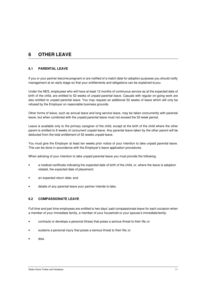# **6 OTHER LEAVE**

# **6.1 PARENTAL LEAVE**

If you or your partner become pregnant or are notified of a match date for adoption purposes you should notify management at an early stage so that your entitlements and obligations can be explained to you.

Under the NES, employees who will have at least 12 months of continuous service as at the expected date of birth of the child, are entitled to 52 weeks of unpaid parental leave. Casuals with regular on-going work are also entitled to unpaid parental leave. You may request an additional 52 weeks of leave which will only be refused by the Employer on reasonable business grounds.

Other forms of leave, such as annual leave and long service leave, may be taken concurrently with parental leave, but when combined with the unpaid parental leave must not exceed the 52 week period.

Leave is available only to the primary caregiver of the child, except at the birth of the child where the other parent is entitled to 8 weeks of concurrent unpaid leave. Any parental leave taken by the other parent will be deducted from the total entitlement of 52 weeks unpaid leave.

You must give the Employer at least ten weeks prior notice of your intention to take unpaid parental leave. This can be done in accordance with the Employer's leave application procedures.

When advising of your intention to take unpaid parental leave you must provide the following:

- a medical certificate indicating the expected date of birth of the child, or, where the leave is adoption related, the expected date of placement;
- an expected return date; and
- details of any parental leave your partner intends to take.

#### **6.2 COMPASSIONATE LEAVE**

Full time and part time employees are entitled to two days' paid compassionate leave for each occasion when a member of your immediate family, a member of your household or your spouse's immediate family:

- contracts or develops a personal illness that poses a serious threat to their life; or
- sustains a personal injury that poses a serious threat to their life; or
- dies.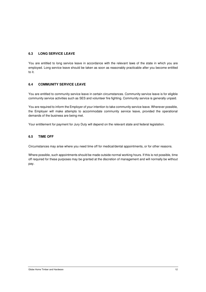#### **6.3 LONG SERVICE LEAVE**

You are entitled to long service leave in accordance with the relevant laws of the state in which you are employed. Long service leave should be taken as soon as reasonably practicable after you become entitled to it.

#### **6.4 COMMUNITY SERVICE LEAVE**

You are entitled to community service leave in certain circumstances. Community service leave is for eligible community service activities such as SES and volunteer fire fighting. Community service is generally unpaid.

You are required to inform the Employer of your intention to take community service leave. Wherever possible, the Employer will make attempts to accommodate community service leave, provided the operational demands of the business are being met.

Your entitlement for payment for Jury Duty will depend on the relevant state and federal legislation.

#### **6.5 TIME OFF**

Circumstances may arise where you need time off for medical/dental appointments, or for other reasons.

Where possible, such appointments should be made outside normal working hours. If this is not possible, time off required for these purposes may be granted at the discretion of management and will normally be without pay.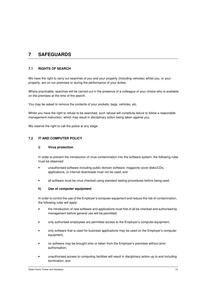# **7 SAFEGUARDS**

# **7.1 RIGHTS OF SEARCH**

We have the right to carry out searches of you and your property (including vehicles) whilst you, or your property, are on our premises or during the performance of your duties.

Where practicable, searches will be carried out in the presence of a colleague of your choice who is available on the premises at the time of the search.

You may be asked to remove the contents of your pockets, bags, vehicles, etc.

Whilst you have the right to refuse to be searched, such refusal will constitute failure to follow a reasonable management instruction, which may result in disciplinary action being taken against you.

We reserve the right to call the police at any stage.

## **7.2 IT AND COMPUTER POLICY**

#### **i) Virus protection**

In order to prevent the introduction of virus contamination into the software system, the following rules must be observed:

- unauthorised software including public domain software, magazine cover disks/CDs, applications, or internet downloads must not be used; and
- all software must be virus checked using standard testing procedures before being used.

#### **ii) Use of computer equipment**

In order to control the use of the Employer's computer equipment and reduce the risk of contamination, the following rules will apply:

- the introduction of new software and applications must first of all be checked and authorised by management before general use will be permitted;
- only authorised employees are permitted access to the Employer's computer equipment;
- only software that is used for business applications may be used on the Employer's computer equipment;
- no software may be brought onto or taken from the Employer's premises without prior authorisation;
- unauthorised access to computing facilities will result in disciplinary action up to and including termination; and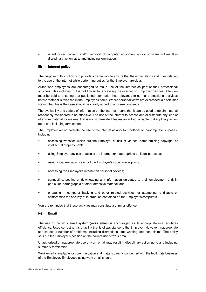• unauthorised copying and/or removal of computer equipment and/or software will result in disciplinary action up to and including termination.

#### **iii) Internet policy**

The purpose of this policy is to provide a framework to ensure that the expectations and rules relating to the use of the internet while performing duties for the Employer are clear.

Authorised employees are encouraged to make use of the internet as part of their professional activities. This includes, but is not limited to, accessing the internet on Employer devices. Attention must be paid to ensuring that published information has relevance to normal professional activities before material is released in the Employer's name. Where personal views are expressed, a disclaimer stating that this is the case should be clearly added to all correspondence.

The availability and variety of information on the internet means that it can be used to obtain material reasonably considered to be offensive. The use of the internet to access and/or distribute any kind of offensive material, or material that is not work-related, leaves an individual liable to disciplinary action up to and including termination.

The Employer will not tolerate the use of the internet at work for unofficial or inappropriate purposes, including:

- accessing websites which put the Employer at risk of viruses, compromising copyright or intellectual property rights:
- using Employer devices to access the internet for inappropriate or illegal purposes;
- using social media in breach of the Employer's social media policy;
- accessing the Employer's internet on personal devices;
- connecting, posting or downloading any information unrelated to their employment and, in particular, pornographic or other offensive material; and
- engaging in computer hacking and other related activities, or attempting to disable or compromise the security of information contained on the Employer's computers.

You are reminded that these activities may constitute a criminal offence.

#### **iv) Email**

The use of the work email system (**work email**) is encouraged as its appropriate use facilitates efficiency. Used correctly, it is a facility that is of assistance to the Employer. However, inappropriate use causes a number of problems, including distractions, time wasting and legal claims. The policy sets out the Employer's position on the correct use of work email.

Unauthorised or inappropriate use of work email may result in disciplinary action up to and including summary termination.

Work email is available for communication and matters directly concerned with the legitimate business of the Employer. Employees using work email should: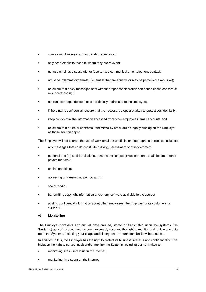- comply with Employer communication standards;
- only send emails to those to whom they are relevant;
- not use email as a substitute for face-to-face communication or telephone contact;
- not send inflammatory emails (i.e. emails that are abusive or may be perceived as abusive);
- be aware that hasty messages sent without proper consideration can cause upset, concern or misunderstanding;
- not read correspondence that is not directly addressed to the employee;
- if the email is confidential, ensure that the necessary steps are taken to protect confidentiality;
- keep confidential the information accessed from other employees' email accounts; and
- be aware that offers or contracts transmitted by email are as legally binding on the Employer as those sent on paper.

The Employer will not tolerate the use of work email for unofficial or inappropriate purposes, including:

- any messages that could constitute bullying, harassment or other detriment;
- personal use (eg social invitations, personal messages, jokes, cartoons, chain letters or other private matters);
- on-line gambling;
- accessing or transmitting pornography;
- social media:
- transmitting copyright information and/or any software available to the user; or
- posting confidential information about other employees, the Employer or its customers or suppliers.

#### **v) Monitoring**

The Employer considers any and all data created, stored or transmitted upon the systems (the **Systems**) as work product and as such, expressly reserves the right to monitor and review any data upon the Systems, including your usage and history, on an intermittent basis without notice.

In addition to this, the Employer has the right to protect its business interests and confidentiality. This includes the right to survey, audit and/or monitor the Systems, including but not limited to:

- monitoring sites users visit on the internet;
- monitoring time spent on the internet;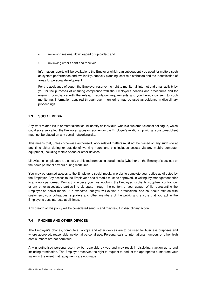- reviewing material downloaded or uploaded; and
- reviewing emails sent and received.

Information reports will be available to the Employer which can subsequently be used for matters such as system performance and availability, capacity planning, cost re-distribution and the identification of areas for personal development.

For the avoidance of doubt, the Employer reserve the right to monitor all internet and email activity by you for the purposes of ensuring compliance with the Employer's policies and procedures and for ensuring compliance with the relevant regulatory requirements and you hereby consent to such monitoring. Information acquired through such monitoring may be used as evidence in disciplinary proceedings.

## **7.3 SOCIAL MEDIA**

Any work related issue or material that could identify an individual who is a customer/client or colleague, which could adversely affect the Employer, a customer/client or the Employer's relationship with any customer/client must not be placed on any social networking site.

This means that, unless otherwise authorised, work related matters must not be placed on any such site at any time either during or outside of working hours and this includes access via any mobile computer equipment, including mobile phone or other devices.

Likewise, all employees are strictly prohibited from using social media (whether on the Employer's devices or their own personal device) during work time.

You may be granted access to the Employer's social media in order to complete your duties as directed by the Employer. Any access to the Employer's social media must be approved, in writing, by management prior to any work performed. During this access, you must not bring the Employer, its clients, suppliers, contractors or any other associated parties into disrepute through the content of your usage. While representing the Employer on social media, it is expected that you will exhibit a professional and courteous attitude with customers, your colleagues, suppliers and other members of the public and ensure that you act in the Employer's best interests at all times.

Any breach of this policy will be considered serious and may result in disciplinary action.

## **7.4 PHONES AND OTHER DEVICES**

The Employer's phones, computers, laptops and other devices are to be used for business purposes and where approved, reasonable incidental personal use. Personal calls to international numbers or other high cost numbers are not permitted.

Any unauthorised personal use may be repayable by you and may result in disciplinary action up to and including termination. The Employer reserves the right to request to deduct the appropriate sums from your salary in the event that repayments are not made.

Globe Home Timber and Hardware 16 November 2016 16 November 2016 16 November 2016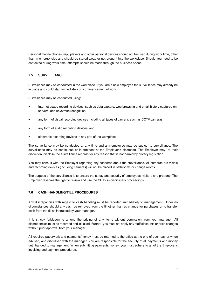Personal mobile phones, mp3 players and other personal devices should not be used during work time, other than in emergencies and should be stored away or not brought into the workplace. Should you need to be contacted during work time, attempts should be made through the business phone.

## **7.5 SURVEILLANCE**

Surveillance may be conducted in the workplace. If you are a new employee the surveillance may already be in place and could start immediately on commencement of work.

Surveillance may be conducted using:

- Internet usage recording devices, such as data capture, web browsing and email history captured on servers, and keystroke recognition;
- any form of visual recording devices including all types of camera, such as CCTV cameras;
- any form of audio recording devices; and
- electronic recording devices in any part of the workplace.

The surveillance may be conducted at any time and any employee may be subject to surveillance. The surveillance may be continuous or intermittent at the Employer's discretion. The Employer may, at their discretion, disclose the surveillance records for any reason that is not barred by privacy legislation.

You may consult with the Employer regarding any concerns about the surveillance. All cameras are visible and recording devices (including cameras) will not be placed in bathrooms or change rooms.

The purpose of the surveillance is to ensure the safety and security of employees, visitors and property. The Employer reserves the right to review and use the CCTV in disciplinary proceedings.

#### **7.6 CASH HANDLING/TILL PROCEDURES**

Any discrepancies with regard to cash handling must be reported immediately to management. Under no circumstances should any cash be removed from the till other than as change for purchases or to transfer cash from the till as instructed by your manager.

It is strictly forbidden to amend the pricing of any items without permission from your manager. All discrepancies must be recorded and initialled. Further, you must not apply any staff discounts or price changes without prior approval from your manager.

All required paperwork and payments/money must be returned to the office at the end of each day or when advised, and discussed with the manager. You are responsible for the security of all payments and money until handed to management. When submitting payments/money, you must adhere to all of the Employer's invoicing and payment procedures.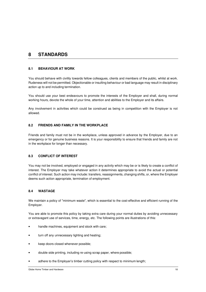# **8 STANDARDS**

#### **8.1 BEHAVIOUR AT WORK**

You should behave with civility towards fellow colleagues, clients and members of the public, whilst at work. Rudeness will not be permitted. Objectionable or insulting behaviour or bad language may result in disciplinary action up to and including termination.

You should use your best endeavours to promote the interests of the Employer and shall, during normal working hours, devote the whole of your time, attention and abilities to the Employer and its affairs.

Any involvement in activities which could be construed as being in competition with the Employer is not allowed.

#### **8.2 FRIENDS AND FAMILY IN THE WORKPLACE**

Friends and family must not be in the workplace, unless approved in advance by the Employer, due to an emergency or for genuine business reasons. It is your responsibility to ensure that friends and family are not in the workplace for longer than necessary.

#### **8.3 CONFLICT OF INTEREST**

You may not be involved, employed or engaged in any activity which may be or is likely to create a conflict of interest. The Employer may take whatever action it determines appropriate to avoid the actual or potential conflict of interest. Such action may include: transfers, reassignments, changing shifts, or, where the Employer deems such action appropriate, termination of employment.

#### **8.4 WASTAGE**

We maintain a policy of "minimum waste", which is essential to the cost-effective and efficient running of the Employer.

You are able to promote this policy by taking extra care during your normal duties by avoiding unnecessary or extravagant use of services, time, energy, etc. The following points are illustrations of this:

- handle machines, equipment and stock with care;
- turn off any unnecessary lighting and heating;
- keep doors closed whenever possible;
- double side printing, including re-using scrap paper, where possible;
- adhere to the Employer's timber cutting policy with respect to minimum length;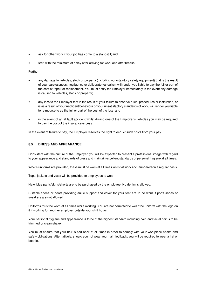- ask for other work if your job has come to a standstill; and
- start with the minimum of delay after arriving for work and after breaks.

Further:

- any damage to vehicles, stock or property (including non-statutory safety equipment) that is the result of your carelessness, negligence or deliberate vandalism will render you liable to pay the full or part of the cost of repair or replacement. You must notify the Employer immediately in the event any damage is caused to vehicles, stock or property;
- any loss to the Employer that is the result of your failure to observe rules, procedures or instruction, or is as a result of your negligent behaviour or your unsatisfactory standards of work, will render you liable to reimburse to us the full or part of the cost of the loss; and
- in the event of an at fault accident whilst driving one of the Employer's vehicles you may be required to pay the cost of the insurance excess.

In the event of failure to pay, the Employer reserves the right to deduct such costs from your pay.

#### **8.5 DRESS AND APPEARANCE**

Consistent with the culture of the Employer, you will be expected to present a professional image with regard to your appearance and standards of dress and maintain excellent standards of personal hygiene at all times.

Where uniforms are provided, these must be worn at all times whilst at work and laundered on a regular basis.

Tops, jackets and vests will be provided to employees to wear.

Navy blue pants/skirts/shorts are to be purchased by the employee. No denim is allowed.

Suitable shoes or boots providing ankle support and cover for your feet are to be worn. Sports shoes or sneakers are not allowed.

Uniforms must be worn at all times while working. You are not permitted to wear the uniform with the logo on it if working for another employer outside your shift hours.

Your personal hygiene and appearance is to be of the highest standard including hair, and facial hair is to be trimmed or clean shaven.

You must ensure that your hair is tied back at all times in order to comply with your workplace health and safety obligations. Alternatively, should you not wear your hair tied back, you will be required to wear a hat or beanie.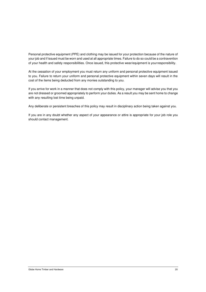Personal protective equipment (PPE) and clothing may be issued for your protection because of the nature of your job and if issued must be worn and used at all appropriate times. Failure to do so could be a contravention of your health and safety responsibilities. Once issued, this protective wear/equipment is your responsibility.

At the cessation of your employment you must return any uniform and personal protective equipment issued to you. Failure to return your uniform and personal protective equipment within seven days will result in the cost of the items being deducted from any monies outstanding to you.

If you arrive for work in a manner that does not comply with this policy, your manager will advise you that you are not dressed or groomed appropriately to perform your duties. As a result you may be sent home to change with any resulting lost time being unpaid.

Any deliberate or persistent breaches of this policy may result in disciplinary action being taken against you.

If you are in any doubt whether any aspect of your appearance or attire is appropriate for your job role you should contact management.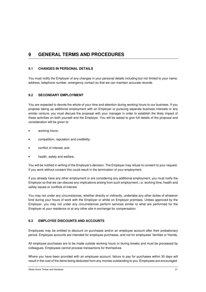# **9 GENERAL TERMS AND PROCEDURES**

#### **9.1 CHANGES IN PERSONAL DETAILS**

You must notify the Employer of any changes in your personal details including but not limited to your name, address, telephone number, emergency contact so that we can maintain accurate records.

#### **9.2 SECONDARY EMPLOYMENT**

You are expected to devote the whole of your time and attention during working hours to our business. If you propose taking up additional employment with an Employer or pursuing separate business interests or any similar venture, you must discuss the proposal with your manager in order to establish the likely impact of these activities on both yourself and the Employer. You will be asked to give full details of the proposal and consideration will be given to:

- working hours;
- competition, reputation and credibility;
- conflict of interest; and
- health, safety and welfare.

You will be notified in writing of the Employer's decision. The Employer may refuse to consent to your request. If you work without consent this could result in the termination of your employment.

If you already have any other employment or are considering any additional employment, you must notify the Employer so that we can discuss any implications arising from such employment, i.e. working time, health and safety issues or conflicts of interest.

You may not under any circumstances, whether directly or indirectly, undertake any other duties of whatever kind during your hours of work with the Employer or whilst on Employer premises. Unless approved by the Employer, you may not under any circumstances perform services similar to what are performed for the Employer at your residence or at any other site in exchange for compensation.

## **9.3 EMPLOYEE DISCOUNTS AND ACCOUNTS**

Employees may be entitled to discount on purchases and/or an employee account after their probationary period. Employee accounts are intended for employee purchases, and not for employees' families or friends.

All employee purchases are to be made outside working hours or during breaks and must be processed by colleagues. Employees cannot process transactions for themselves.

Where you have been provided with an employee account, failure to pay for purchases within 30 days will result in the cost of the items being deducted from any monies outstanding to you. Employees are encouraged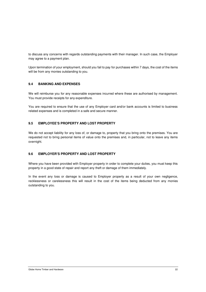to discuss any concerns with regards outstanding payments with their manager. In such case, the Employer may agree to a payment plan.

Upon termination of your employment, should you fail to pay for purchases within 7 days, the cost of the items will be from any monies outstanding to you.

#### **9.4 BANKING AND EXPENSES**

We will reimburse you for any reasonable expenses incurred where these are authorised by management. You must provide receipts for any expenditure.

You are required to ensure that the use of any Employer card and/or bank accounts is limited to business related expenses and is completed in a safe and secure manner.

#### **9.5 EMPLOYEE'S PROPERTY AND LOST PROPERTY**

We do not accept liability for any loss of, or damage to, property that you bring onto the premises. You are requested not to bring personal items of value onto the premises and, in particular, not to leave any items overnight.

## **9.6 EMPLOYER'S PROPERTY AND LOST PROPERTY**

Where you have been provided with Employer property in order to complete your duties, you must keep this property in a good state of repair and report any theft or damage of them immediately.

In the event any loss or damage is caused to Employer property as a result of your own negligence, recklessness or carelessness this will result in the cost of the items being deducted from any monies outstanding to you.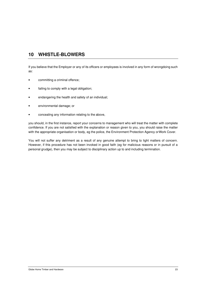# **10 WHISTLE-BLOWERS**

If you believe that the Employer or any of its officers or employees is involved in any form of wrongdoing such as:

- committing a criminal offence;
- failing to comply with a legal obligation;
- endangering the health and safety of an individual;
- environmental damage; or
- concealing any information relating to the above,

you should, in the first instance, report your concerns to management who will treat the matter with complete confidence. If you are not satisfied with the explanation or reason given to you, you should raise the matter with the appropriate organisation or body, eg the police, the Environment Protection Agency or Work Cover.

You will not suffer any detriment as a result of any genuine attempt to bring to light matters of concern. However, if this procedure has not been invoked in good faith (eg for malicious reasons or in pursuit of a personal grudge), then you may be subject to disciplinary action up to and including termination.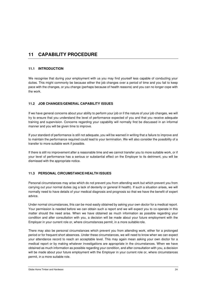# **11 CAPABILITY PROCEDURE**

## **11.1 INTRODUCTION**

We recognise that during your employment with us you may find yourself less capable of conducting your duties. This might commonly be because either the job changes over a period of time and you fail to keep pace with the changes, or you change (perhaps because of health reasons) and you can no longer cope with the work.

# **11.2 JOB CHANGES/GENERAL CAPABILITY ISSUES**

If we have general concerns about your ability to perform your job or if the nature of your job changes, we will try to ensure that you understand the level of performance expected of you and that you receive adequate training and supervision. Concerns regarding your capability will normally first be discussed in an informal manner and you will be given time to improve.

If your standard of performance is still not adequate, you will be warned in writing that a failure to improve and to maintain the performance required could lead to your termination. We will also consider the possibility of a transfer to more suitable work if possible.

If there is still no improvement after a reasonable time and we cannot transfer you to more suitable work, or if your level of performance has a serious or substantial effect on the Employer to its detriment, you will be dismissed with the appropriate notice.

## **11.3 PERSONAL CIRCUMSTANCE/HEALTH ISSUES**

Personal circumstances may arise which do not prevent you from attending work but which prevent you from carrying out your normal duties (eg a lack of dexterity or general ill health). If such a situation arises, we will normally need to have details of your medical diagnosis and prognosis so that we have the benefit of expert advice.

Under normal circumstances, this can be most easily obtained by asking your own doctor for a medical report. Your permission is needed before we can obtain such a report and we will expect you to co-operate in this matter should the need arise. When we have obtained as much information as possible regarding your condition and after consultation with you, a decision will be made about your future employment with the Employer in your current role or, where circumstances permit, in a more suitable role.

There may also be personal circumstances which prevent you from attending work, either for a prolonged period or for frequent short absences. Under these circumstances, we will need to know when we can expect your attendance record to reach an acceptable level. This may again mean asking your own doctor for a medical report or by making whatever investigations are appropriate in the circumstances. When we have obtained as much information as possible regarding your condition, and after consultation with you, a decision will be made about your future employment with the Employer in your current role or, where circumstances permit, in a more suitable role.

Globe Home Timber and Hardware 24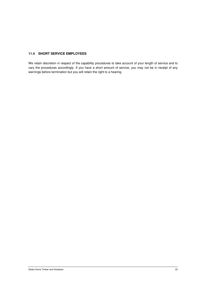#### **11.4 SHORT SERVICE EMPLOYEES**

We retain discretion in respect of the capability procedures to take account of your length of service and to vary the procedures accordingly. If you have a short amount of service, you may not be in receipt of any warnings before termination but you will retain the right to a hearing.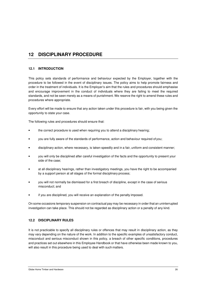# **12 DISCIPLINARY PROCEDURE**

#### **12.1 INTRODUCTION**

This policy sets standards of performance and behaviour expected by the Employer, together with the procedure to be followed in the event of disciplinary issues. The policy aims to help promote fairness and order in the treatment of individuals. It is the Employer's aim that the rules and procedures should emphasise and encourage improvement in the conduct of individuals where they are failing to meet the required standards, and not be seen merely as a means of punishment. We reserve the right to amend these rules and procedures where appropriate.

Every effort will be made to ensure that any action taken under this procedure is fair, with you being given the opportunity to state your case.

The following rules and procedures should ensure that:

- the correct procedure is used when requiring you to attend a disciplinary hearing;
- you are fully aware of the standards of performance, action and behaviour required of you;
- disciplinary action, where necessary, is taken speedily and in a fair, uniform and consistent manner;
- you will only be disciplined after careful investigation of the facts and the opportunity to present your side of the case;
- at all disciplinary hearings, rather than investigatory meetings, you have the right to be accompanied by a support person at all stages of the formal disciplinary process;
- you will not normally be dismissed for a first breach of discipline, except in the case of serious misconduct; and
- if you are disciplined, you will receive an explanation of the penalty imposed.

On some occasions temporary suspension on contractual pay may be necessary in order that an uninterrupted investigation can take place. This should not be regarded as disciplinary action or a penalty of any kind.

#### **12.2 DISCIPLINARY RULES**

It is not practicable to specify all disciplinary rules or offences that may result in disciplinary action, as they may vary depending on the nature of the work. In addition to the specific examples of unsatisfactory conduct, misconduct and serious misconduct shown in this policy, a breach of other specific conditions, procedures and practices set out elsewhere in this Employee Handbook or that have otherwise been made known to you, will also result in this procedure being used to deal with such matters.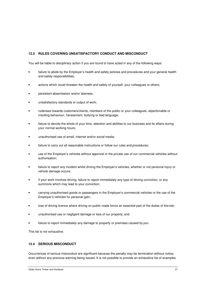# **12.3 RULES COVERING UNSATISFACTORY CONDUCT AND MISCONDUCT**

You will be liable to disciplinary action if you are found to have acted in any of the following ways:

- failure to abide by the Employer's health and safety policies and procedures and your general health and safety responsibilities;
- actions which could threaten the health and safety of yourself, your colleagues or others;
- persistent absenteeism and/or lateness;
- unsatisfactory standards or output of work;
- rudeness towards customers/clients, members of the public or your colleagues, objectionable or insulting behaviour, harassment, bullying or bad language;
- failure to devote the whole of your time, attention and abilities to our business and its affairs during your normal working hours;
- unauthorised use of email, internet and/or social media;
- failure to carry out all reasonable instructions or follow our rules and procedures;
- use of the Employer's vehicles without approval or the private use of our commercial vehicles without authorisation;
- failure to report any incident whilst driving the Employer's vehicles, whether or not personal injury or vehicle damage occurs;
- if your work involves driving, failure to report immediately any type of driving conviction, or any summons which may lead to your conviction;
- carrying unauthorised goods or passengers in the Employer's commercial vehicles or the use of the Employer's vehicles for personal gain;
- loss of driving licence where driving on public roads forms an essential part of the duties of the role;
- unauthorised use or negligent damage or loss of our property; and
- failure to report immediately any damage to property or premises caused by you.

This list is not exhaustive.

#### **12.4 SERIOUS MISCONDUCT**

Occurrences of serious misconduct are significant because the penalty may be termination without notice, even without any previous warning being issued. It is not possible to provide an exhaustive list of examples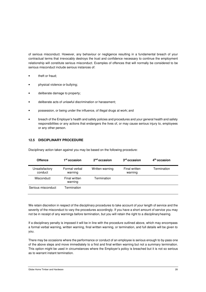of serious misconduct. However, any behaviour or negligence resulting in a fundamental breach of your contractual terms that irrevocably destroys the trust and confidence necessary to continue the employment relationship will constitute serious misconduct. Examples of offences that will normally be considered to be serious misconduct include serious instances of:

- theft or fraud;
- physical violence or bullying;
- deliberate damage to property;
- deliberate acts of unlawful discrimination or harassment;
- possession, or being under the influence, of illegal drugs at work; and
- breach of the Employer's health and safety policies and procedures and your general health and safety responsibilities or any actions that endangers the lives of, or may cause serious injury to, employees or any other person.

#### **12.5 DISCIPLINARY PROCEDURE**

| <b>Offence</b>            | 1 <sup>st</sup> occasion | $2nd$ occasion  | 3 <sup>rd</sup> occasion | 4 <sup>th</sup> occasion |
|---------------------------|--------------------------|-----------------|--------------------------|--------------------------|
| Unsatisfactory<br>conduct | Formal verbal<br>warning | Written warning | Final written<br>warning | Termination              |
| Misconduct                | Final written<br>warning | Termination     |                          |                          |
| Serious misconduct        | Termination              |                 |                          |                          |

Disciplinary action taken against you may be based on the following procedure:

We retain discretion in respect of the disciplinary procedures to take account of your length of service and the severity of the misconduct to vary the procedures accordingly. If you have a short amount of service you may not be in receipt of any warnings before termination, but you will retain the right to a disciplinary hearing.

If a disciplinary penalty is imposed it will be in line with the procedure outlined above, which may encompass a formal verbal warning, written warning, final written warning, or termination, and full details will be given to you.

There may be occasions where the performance or conduct of an employee is serious enough to by-pass one of the above steps and move immediately to a first and final written warning but not a summary termination. This option might be used in circumstances where the Employer's policy is breached but it is not so serious as to warrant instant termination.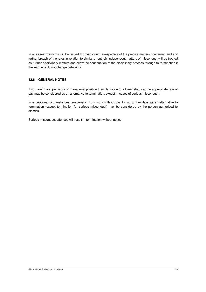In all cases, warnings will be issued for misconduct, irrespective of the precise matters concerned and any further breach of the rules in relation to similar or entirely independent matters of misconduct will be treated as further disciplinary matters and allow the continuation of the disciplinary process through to termination if the warnings do not change behaviour.

# **12.6 GENERAL NOTES**

If you are in a supervisory or managerial position then demotion to a lower status at the appropriate rate of pay may be considered as an alternative to termination, except in cases of serious misconduct.

In exceptional circumstances, suspension from work without pay for up to five days as an alternative to termination (except termination for serious misconduct) may be considered by the person authorised to dismiss.

Serious misconduct offences will result in termination without notice.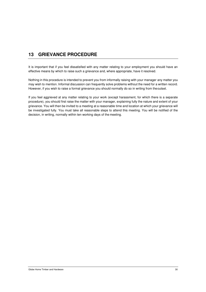# **13 GRIEVANCE PROCEDURE**

It is important that if you feel dissatisfied with any matter relating to your employment you should have an effective means by which to raise such a grievance and, where appropriate, have it resolved.

Nothing in this procedure is intended to prevent you from informally raising with your manager any matter you may wish to mention. Informal discussion can frequently solve problems without the need for a written record. However, if you wish to raise a formal grievance you should normally do so in writing from the outset.

If you feel aggrieved at any matter relating to your work (except harassment, for which there is a separate procedure), you should first raise the matter with your manager, explaining fully the nature and extent of your grievance. You will then be invited to a meeting at a reasonable time and location at which your grievance will be investigated fully. You must take all reasonable steps to attend this meeting. You will be notified of the decision, in writing, normally within ten working days of the meeting.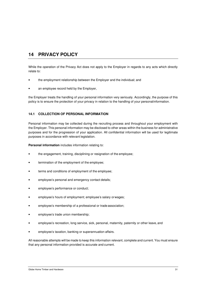# **14 PRIVACY POLICY**

While the operation of the Privacy Act does not apply to the Employer in regards to any acts which directly relate to:

- the employment relationship between the Employer and the individual; and
- an employee record held by the Employer,

the Employer treats the handling of your personal information very seriously. Accordingly, the purpose of this policy is to ensure the protection of your privacy in relation to the handling of your personal information.

## **14.1 COLLECTION OF PERSONAL INFORMATION**

Personal information may be collected during the recruiting process and throughout your employment with the Employer. This personal information may be disclosed to other areas within the business for administrative purposes and for the progression of your application. All confidential information will be used for legitimate purposes in accordance with relevant legislation.

**Personal information** includes information relating to:

- the engagement, training, disciplining or resignation of the employee;
- termination of the employment of the employee;
- terms and conditions of employment of the employee;
- employee's personal and emergency contact details;
- employee's performance or conduct;
- employee's hours of employment; employee's salary or wages;
- employee's membership of a professional or trade association;
- employee's trade union membership;
- employee's recreation, long service, sick, personal, maternity, paternity or other leave, and
- employee's taxation, banking or superannuation affairs.

All reasonable attempts will be made to keep this information relevant, complete and current. You must ensure that any personal information provided is accurate and current.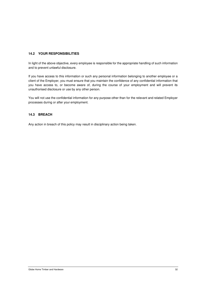## **14.2 YOUR RESPONSIBILITIES**

In light of the above objective, every employee is responsible for the appropriate handling of such information and to prevent unlawful disclosure.

If you have access to this information or such any personal information belonging to another employee or a client of the Employer, you must ensure that you maintain the confidence of any confidential information that you have access to, or become aware of, during the course of your employment and will prevent its unauthorised disclosure or use by any other person.

You will not use the confidential information for any purpose other than for the relevant and related Employer processes during or after your employment.

#### **14.3 BREACH**

Any action in breach of this policy may result in disciplinary action being taken.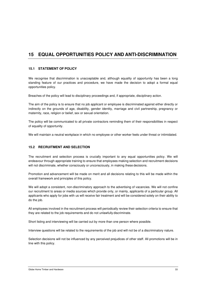# **15 EQUAL OPPORTUNITIES POLICY AND ANTI-DISCRIMINATION**

#### **15.1 STATEMENT OF POLICY**

We recognise that discrimination is unacceptable and, although equality of opportunity has been a long standing feature of our practices and procedure, we have made the decision to adopt a formal equal opportunities policy.

Breaches of the policy will lead to disciplinary proceedings and, if appropriate, disciplinary action.

The aim of the policy is to ensure that no job applicant or employee is discriminated against either directly or indirectly on the grounds of age, disability, gender identity, marriage and civil partnership, pregnancy or maternity, race, religion or belief, sex or sexual orientation.

The policy will be communicated to all private contractors reminding them of their responsibilities in respect of equality of opportunity.

We will maintain a neutral workplace in which no employee or other worker feels under threat or intimidated.

## **15.2 RECRUITMENT AND SELECTION**

The recruitment and selection process is crucially important to any equal opportunities policy. We will endeavour through appropriate training to ensure that employees making selection and recruitment decisions will not discriminate, whether consciously or unconsciously, in making these decisions.

Promotion and advancement will be made on merit and all decisions relating to this will be made within the overall framework and principles of this policy.

We will adopt a consistent, non-discriminatory approach to the advertising of vacancies. We will not confine our recruitment to areas or media sources which provide only, or mainly, applicants of a particular group. All applicants who apply for jobs with us will receive fair treatment and will be considered solely on their ability to do the job.

All employees involved in the recruitment process will periodically review their selection criteria to ensure that they are related to the job requirements and do not unlawfully discriminate.

Short listing and interviewing will be carried out by more than one person where possible.

Interview questions will be related to the requirements of the job and will not be of a discriminatory nature.

Selection decisions will not be influenced by any perceived prejudices of other staff. All promotions will be in line with this policy.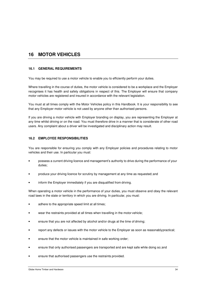# **16 MOTOR VEHICLES**

#### **16.1 GENERAL REQUIREMENTS**

You may be required to use a motor vehicle to enable you to efficiently perform your duties.

Where travelling in the course of duties, the motor vehicle is considered to be a workplace and the Employer recognises it has health and safety obligations in respect of this. The Employer will ensure that company motor vehicles are registered and insured in accordance with the relevant legislation.

You must at all times comply with the Motor Vehicles policy in this Handbook. It is your responsibility to see that any Employer motor vehicle is not used by anyone other than authorised persons.

If you are driving a motor vehicle with Employer branding on display, you are representing the Employer at any time whilst driving or on the road. You must therefore drive in a manner that is considerate of other road users. Any complaint about a driver will be investigated and disciplinary action may result.

#### **16.2 EMPLOYEE RESPONSIBILITIES**

You are responsible for ensuring you comply with any Employer policies and procedures relating to motor vehicles and their use. In particular you must:

- possess a current driving licence and management's authority to drive during the performance of your duties;
- produce your driving licence for scrutiny by management at any time as requested; and
- inform the Employer immediately if you are disqualified from driving.

When operating a motor vehicle in the performance of your duties, you must observe and obey the relevant road laws in the state or territory in which you are driving. In particular, you must:

- adhere to the appropriate speed limit at all times;
- wear the restraints provided at all times when travelling in the motor vehicle;
- ensure that you are not affected by alcohol and/or drugs at the time of driving;
- report any defects or issues with the motor vehicle to the Employer as soon as reasonably practical;
- ensure that the motor vehicle is maintained in safe working order;
- ensure that only authorised passengers are transported and are kept safe while doing so; and
- ensure that authorised passengers use the restraints provided.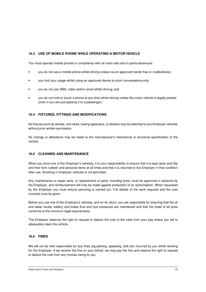## **16.3 USE OF MOBILE PHONE WHILE OPERATING A MOTOR VEHICLE**

You must operate mobile phones in compliance with all road rules and in particular ensure:

- you do not use a mobile phone whilst driving unless via an approved hands free or cradle device;
- you limit your usage whilst using an approved device to short conversations only;
- you do not use SMS, video and/or email whilst driving; and
- you do not hold or touch a phone at any time whilst driving unless the motor vehicle is legally parked (even if you are just passing it to a passenger).

#### **16.4 FIXTURES, FITTINGS AND MODIFICATIONS**

No fixtures such as aerials, roof racks, towing apparatus, or stickers may be attached to any Employer vehicles without prior written permission.

No change or alterations may be made to the manufacturer's mechanical or structural specification of the vehicle.

#### **16.5 CLEANING AND MAINTENANCE**

When you drive one of the Employer's vehicles, it is your responsibility to ensure that it is kept clean and tidy and free from rubbish and personal items at all times and that it is returned to the Employer in that condition after use. Smoking in Employer vehicles is not permitted.

Any maintenance or repair work, or replacement of parts, including tyres, must be approved in advance by the Employer, and reimbursement will only be made against production of an authorisation. When requested by the Employer you must ensure servicing is carried out. Full details of the work required and the cost involved must be given.

Before you use one of the Employer's vehicles, and on its return, you are responsible for ensuring that the oil and water levels, battery and brake fluid and tyre pressures are maintained and that the tread of all tyres conforms to the minimum legal requirements.

The Employer reserves the right to request to deduct the cost of the valet from your pay where you fail to adequately clean the vehicle.

#### **16.6 FINES**

We will not be held responsible for any fines (eg parking, speeding, tolls etc) incurred by you whilst working for the Employer. If we receive the fine on your behalf, we may pay the fine and reserve the right to request to deduct the cost from any monies owing to you.

Globe Home Timber and Hardware 35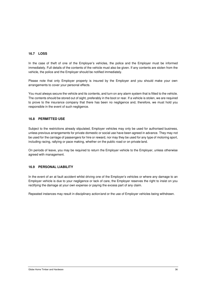#### **16.7 LOSS**

In the case of theft of one of the Employer's vehicles, the police and the Employer must be informed immediately. Full details of the contents of the vehicle must also be given. If any contents are stolen from the vehicle, the police and the Employer should be notified immediately.

Please note that only Employer property is insured by the Employer and you should make your own arrangements to cover your personal effects.

You must always secure the vehicle and its contents, and turn on any alarm system that is fitted to the vehicle. The contents should be stored out of sight, preferably in the boot or rear. If a vehicle is stolen, we are required to prove to the insurance company that there has been no negligence and, therefore, we must hold you responsible in the event of such negligence.

#### **16.8 PERMITTED USE**

Subject to the restrictions already stipulated, Employer vehicles may only be used for authorised business, unless previous arrangements for private domestic or social use have been agreed in advance. They may not be used for the carriage of passengers for hire or reward, nor may they be used for any type of motoring sport, including racing, rallying or pace making, whether on the public road or on private land.

On periods of leave, you may be required to return the Employer vehicle to the Employer, unless otherwise agreed with management.

#### **16.9 PERSONAL LIABILITY**

In the event of an at fault accident whilst driving one of the Employer's vehicles or where any damage to an Employer vehicle is due to your negligence or lack of care, the Employer reserves the right to insist on you rectifying the damage at your own expense or paying the excess part of any claim.

Repeated instances may result in disciplinary action/and or the use of Employer vehicles being withdrawn.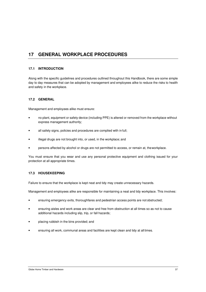# **17 GENERAL WORKPLACE PROCEDURES**

#### **17.1 INTRODUCTION**

Along with the specific guidelines and procedures outlined throughout this Handbook, there are some simple day to day measures that can be adopted by management and employees alike to reduce the risks to health and safety in the workplace.

#### **17.2 GENERAL**

Management and employees alike must ensure:

- no plant, equipment or safety device (including PPE) is altered or removed from the workplace without express management authority;
- all safety signs, policies and procedures are complied with in full;
- illegal drugs are not brought into, or used, in the workplace; and
- persons affected by alcohol or drugs are not permitted to access, or remain at, the workplace.

You must ensure that you wear and use any personal protective equipment and clothing issued for your protection at all appropriate times.

#### **17.3 HOUSEKEEPING**

Failure to ensure that the workplace is kept neat and tidy may create unnecessary hazards.

Management and employees alike are responsible for maintaining a neat and tidy workplace. This involves:

- ensuring emergency exits, thoroughfares and pedestrian access points are not obstructed;
- ensuring aisles and work areas are clear and free from obstruction at all times so as not to cause additional hazards including slip, trip, or fall hazards;
- placing rubbish in the bins provided; and
- ensuring all work, communal areas and facilities are kept clean and tidy at all times.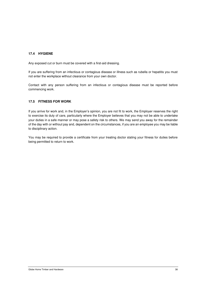#### **17.4 HYGIENE**

Any exposed cut or burn must be covered with a first-aid dressing.

If you are suffering from an infectious or contagious disease or illness such as rubella or hepatitis you must not enter the workplace without clearance from your own doctor.

Contact with any person suffering from an infectious or contagious disease must be reported before commencing work.

### **17.5 FITNESS FOR WORK**

If you arrive for work and, in the Employer's opinion, you are not fit to work, the Employer reserves the right to exercise its duty of care, particularly where the Employer believes that you may not be able to undertake your duties in a safe manner or may pose a safety risk to others. We may send you away for the remainder of the day with or without pay and, dependent on the circumstances, if you are an employee you may be liable to disciplinary action.

You may be required to provide a certificate from your treating doctor stating your fitness for duties before being permitted to return to work.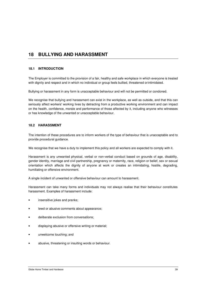# **18 BULLYING AND HARASSMENT**

## **18.1 INTRODUCTION**

The Employer is committed to the provision of a fair, healthy and safe workplace in which everyone is treated with dignity and respect and in which no individual or group feels bullied, threatened or intimidated.

Bullying or harassment in any form is unacceptable behaviour and will not be permitted or condoned.

We recognise that bullying and harassment can exist in the workplace, as well as outside, and that this can seriously affect workers' working lives by detracting from a productive working environment and can impact on the health, confidence, morale and performance of those affected by it, including anyone who witnesses or has knowledge of the unwanted or unacceptable behaviour.

#### **18.2 HARASSMENT**

The intention of these procedures are to inform workers of the type of behaviour that is unacceptable and to provide procedural guidance.

We recognise that we have a duty to implement this policy and all workers are expected to comply with it.

Harassment is any unwanted physical, verbal or non-verbal conduct based on grounds of age, disability, gender identity, marriage and civil partnership, pregnancy or maternity, race, religion or belief, sex or sexual orientation which affects the dignity of anyone at work or creates an intimidating, hostile, degrading, humiliating or offensive environment.

A single incident of unwanted or offensive behaviour can amount to harassment.

Harassment can take many forms and individuals may not always realise that their behaviour constitutes harassment. Examples of harassment include:

- insensitive jokes and pranks;
- lewd or abusive comments about appearance;
- deliberate exclusion from conversations;
- displaying abusive or offensive writing or material;
- unwelcome touching; and
- abusive, threatening or insulting words or behaviour.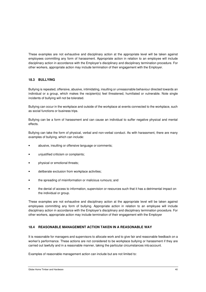These examples are not exhaustive and disciplinary action at the appropriate level will be taken against employees committing any form of harassment. Appropriate action in relation to an employee will include disciplinary action in accordance with the Employer's disciplinary and disciplinary termination procedure. For other workers, appropriate action may include termination of their engagement with the Employer.

#### **18.3 BULLYING**

Bullying is repeated, offensive, abusive, intimidating, insulting or unreasonable behaviour directed towards an individual or a group, which makes the recipient(s) feel threatened, humiliated or vulnerable. Note single incidents of bullying will not be tolerated.

Bullying can occur in the workplace and outside of the workplace at events connected to the workplace, such as social functions or business trips.

Bullying can be a form of harassment and can cause an individual to suffer negative physical and mental effects.

Bullying can take the form of physical, verbal and non-verbal conduct. As with harassment, there are many examples of bullying, which can include:

- abusive, insulting or offensive language or comments;
- unjustified criticism or complaints;
- physical or emotional threats;
- deliberate exclusion from workplace activities;
- the spreading of misinformation or malicious rumours; and
- the denial of access to information, supervision or resources such that it has a detrimental impact on the individual or group.

These examples are not exhaustive and disciplinary action at the appropriate level will be taken against employees committing any form of bullying. Appropriate action in relation to an employee will include disciplinary action in accordance with the Employer's disciplinary and disciplinary termination procedure. For other workers, appropriate action may include termination of their engagement with the Employer

## **18.4 REASONABLE MANAGEMENT ACTION TAKEN IN A REASONABLE WAY**

It is reasonable for managers and supervisors to allocate work and to give fair and reasonable feedback on a worker's performance. These actions are not considered to be workplace bullying or harassment if they are carried out lawfully and in a reasonable manner, taking the particular circumstances into account.

Examples of reasonable management action can include but are not limited to: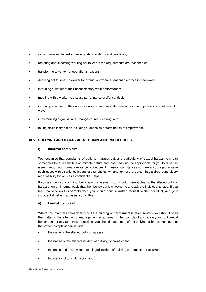- setting reasonable performance goals, standards and deadlines;
- rostering and allocating working hours where the requirements are reasonable;
- transferring a worker for operational reasons;
- deciding not to select a worker for promotion where a reasonable process is followed;
- informing a worker of their unsatisfactory work performance;
- meeting with a worker to discuss performance and/or conduct:
- informing a worker of their unreasonable or inappropriate behaviour in an objective and confidential way;
- implementing organisational changes or restructuring; and
- taking disciplinary action including suspension or termination of employment.

## **18.5 BULLYING AND HARASSMENT COMPLAINT PROCEDURES**

## **i) Informal complaint**

We recognise that complaints of bullying, harassment, and particularly of sexual harassment, can sometimes be of a sensitive or intimate nature and that it may not be appropriate for you to raise the issue through our normal grievance procedure. In these circumstances you are encouraged to raise such issues with a senior colleague of your choice (whether or not that person has a direct supervisory responsibility for you) as a confidential helper.

If you are the victim of minor bullying or harassment you should make it clear to the alleged bully or harasser on an informal basis that their behaviour is unwelcome and ask the individual to stop. If you feel unable to do this verbally then you should hand a written request to the individual, and your confidential helper can assist you in this.

#### **ii) Formal complaint**

Where the informal approach fails or if the bullying or harassment is more serious, you should bring the matter to the attention of management as a formal written complaint and again your confidential helper can assist you in this. If possible, you should keep notes of the bullying or harassment so that the written complaint can include:

- the name of the alleged bully or harasser;
- the nature of the alleged incident of bullying or harassment;
- the dates and times when the alleged incident of bullying or harassment occurred;
- the names of any witnesses; and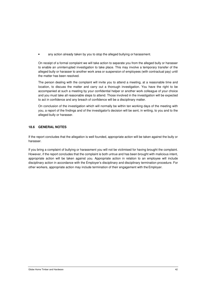any action already taken by you to stop the alleged bullying or harassment.

On receipt of a formal complaint we will take action to separate you from the alleged bully or harasser to enable an uninterrupted investigation to take place. This may involve a temporary transfer of the alleged bully or harasser to another work area or suspension of employees (with contractual pay) until the matter has been resolved.

The person dealing with the complaint will invite you to attend a meeting, at a reasonable time and location, to discuss the matter and carry out a thorough investigation. You have the right to be accompanied at such a meeting by your confidential helper or another work colleague of your choice and you must take all reasonable steps to attend. Those involved in the investigation will be expected to act in confidence and any breach of confidence will be a disciplinary matter.

On conclusion of the investigation which will normally be within ten working days of the meeting with you, a report of the findings and of the investigator's decision will be sent, in writing, to you and to the alleged bully or harasser.

## **18.6 GENERAL NOTES**

If the report concludes that the allegation is well founded, appropriate action will be taken against the bully or harasser.

If you bring a complaint of bullying or harassment you will not be victimised for having brought the complaint. However, if the report concludes that the complaint is both untrue and has been brought with malicious intent, appropriate action will be taken against you. Appropriate action in relation to an employee will include disciplinary action in accordance with the Employer's disciplinary and disciplinary termination procedure. For other workers, appropriate action may include termination of their engagement with the Employer.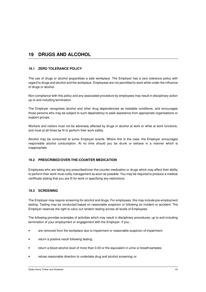# **19 DRUGS AND ALCOHOL**

## **19.1 ZERO TOLERANCE POLICY**

The use of drugs or alcohol jeopardises a safe workplace. The Employer has a zero tolerance policy with regard to drugs and alcohol and the workplace. Employees are not permitted to work while under the influence of drugs or alcohol.

Non-compliance with this policy and any associated procedure by employees may result in disciplinary action up to and including termination.

The Employer recognises alcohol and other drug dependencies as treatable conditions, and encourages those persons who may be subject to such dependency to seek assistance from appropriate organisations or support groups.

Workers and visitors must not be adversely affected by drugs or alcohol at work or while at work functions, and must at all times be fit to perform their work safely.

Alcohol may be consumed at some Employer events. Where this is the case, the Employer encourages responsible alcohol consumption. At no time should you be drunk or behave in a manner which is inappropriate.

#### **19.2 PRESCRIBED/OVER-THE-COUNTER MEDICATION**

Employees who are taking any prescribed/over-the-counter medication or drugs which may affect their ability to perform their work must notify management as soon as possible. You may be required to produce a medical certificate stating that you are fit for work or specifying any restrictions.

#### **19.3 SCREENING**

The Employer may require screening for alcohol and drugs. For employees, this may include pre-employment testing. Testing may be conducted based on reasonable suspicion or following an incident or accident. The Employer reserves the right to carry out random testing across all levels of Employees.

The following provides examples of activities which may result in disciplinary procedures, up to and including termination of your employment or engagement with the Employer. If you:

- are removed from the workplace due to impairment or reasonable suspicion of impairment;
- return a positive result following testing;
- return a blood alcohol level of more than 0.00 or the equivalent in urine or breath samples;
- refuse reasonable direction to undertake drug and alcohol screening; or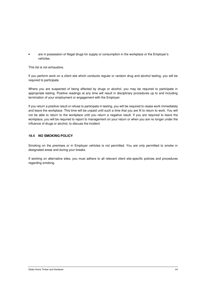• are in possession of illegal drugs for supply or consumption in the workplace or the Employer's vehicles.

This list is not exhaustive.

If you perform work on a client site which conducts regular or random drug and alcohol testing, you will be required to participate.

Where you are suspected of being affected by drugs or alcohol, you may be required to participate in appropriate testing. Positive readings at any time will result in disciplinary procedures up to and including termination of your employment or engagement with the Employer.

If you return a positive result or refuse to participate in testing, you will be required to cease work immediately and leave the workplace. This time will be unpaid until such a time that you are fit to return to work. You will not be able to return to the workplace until you return a negative result. If you are required to leave the workplace, you will be required to report to management on your return or when you are no longer under the influence of drugs or alcohol, to discuss the incident.

#### **19.4 NO SMOKING POLICY**

Smoking on the premises or in Employer vehicles is not permitted. You are only permitted to smoke in designated areas and during your breaks.

If working on alternative sites, you must adhere to all relevant client site-specific policies and procedures regarding smoking.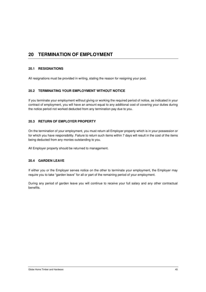# **20 TERMINATION OF EMPLOYMENT**

#### **20.1 RESIGNATIONS**

All resignations must be provided in writing, stating the reason for resigning your post.

## **20.2 TERMINATING YOUR EMPLOYMENT WITHOUT NOTICE**

If you terminate your employment without giving or working the required period of notice, as indicated in your contract of employment, you will have an amount equal to any additional cost of covering your duties during the notice period not worked deducted from any termination pay due to you.

# **20.3 RETURN OF EMPLOYER PROPERTY**

On the termination of your employment, you must return all Employer property which is in your possession or for which you have responsibility. Failure to return such items within 7 days will result in the cost of the items being deducted from any monies outstanding to you.

All Employer property should be returned to management.

#### **20.4 GARDEN LEAVE**

If either you or the Employer serves notice on the other to terminate your employment, the Employer may require you to take "garden leave" for all or part of the remaining period of your employment.

During any period of garden leave you will continue to receive your full salary and any other contractual benefits.